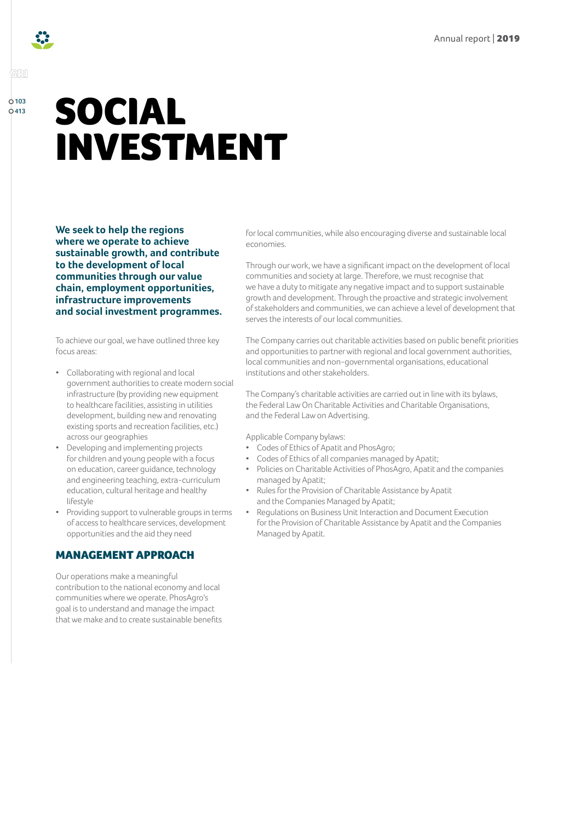

# SOCIAL INVESTMENT

**We seek to help the regions where we operate to achieve sustainable growth, and contribute to the development of local communities through our value chain, employment opportunities, infrastructure improvements and social investment programmes.**

To achieve our goal, we have outlined three key focus areas:

- Collaborating with regional and local government authorities to create modern social infrastructure (by providing new equipment to healthcare facilities, assisting in utilities development, building new and renovating existing sports and recreation facilities, etc.) across our geographies
- Developing and implementing projects for children and young people with a focus on education, career guidance, technology and engineering teaching, extra-curriculum education, cultural heritage and healthy lifestyle
- Providing support to vulnerable groups in terms of access to healthcare services, development opportunities and the aid they need

# MANAGEMENT APPROACH

Our operations make a meaningful contribution to the national economy and local communities where we operate. PhosAgro's goal is to understand and manage the impact that we make and to create sustainable benefits for local communities, while also encouraging diverse and sustainable local economies.

Through our work, we have a significant impact on the development of local communities and society at large. Therefore, we must recognise that we have a duty to mitigate any negative impact and to support sustainable growth and development. Through the proactive and strategic involvement of stakeholders and communities, we can achieve a level of development that serves the interests of our local communities.

The Company carries out charitable activities based on public benefit priorities and opportunities to partner with regional and local government authorities, local communities and non-governmental organisations, educational institutions and other stakeholders.

The Company's charitable activities are carried out in line with its bylaws, the Federal Law On Charitable Activities and Charitable Organisations, and the Federal Law on Advertising.

#### Applicable Company bylaws:

- Codes of Ethics of Apatit and PhosAgro;
- Codes of Ethics of all companies managed by Apatit;
- Policies on Charitable Activities of PhosAgro, Apatit and the companies managed by Apatit;
- Rules for the Provision of Charitable Assistance by Apatit and the Companies Managed by Apatit;
- Regulations on Business Unit Interaction and Document Execution for the Provision of Charitable Assistance by Apatit and the Companies Managed by Apatit.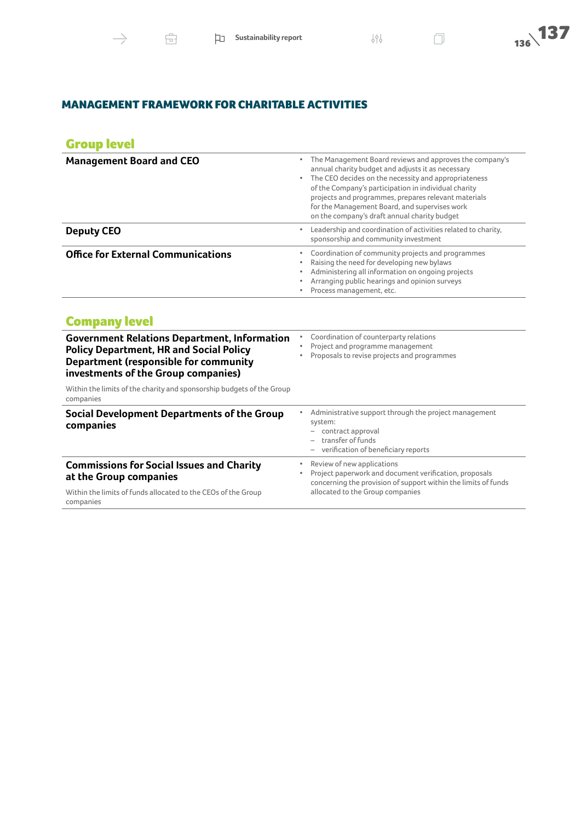# MANAGEMENT FRAMEWORK FOR CHARITABLE ACTIVITIES

# Group level

| <b>Management Board and CEO</b>           | The Management Board reviews and approves the company's<br>٠<br>annual charity budget and adjusts it as necessary<br>The CEO decides on the necessity and appropriateness<br>$\bullet$<br>of the Company's participation in individual charity<br>projects and programmes, prepares relevant materials<br>for the Management Board, and supervises work<br>on the company's draft annual charity budget |  |
|-------------------------------------------|---------------------------------------------------------------------------------------------------------------------------------------------------------------------------------------------------------------------------------------------------------------------------------------------------------------------------------------------------------------------------------------------------------|--|
| <b>Deputy CEO</b>                         | Leadership and coordination of activities related to charity,<br>٠<br>sponsorship and community investment                                                                                                                                                                                                                                                                                              |  |
| <b>Office for External Communications</b> | Coordination of community projects and programmes<br>Raising the need for developing new bylaws<br>$\bullet$<br>Administering all information on ongoing projects<br>٠<br>Arranging public hearings and opinion surveys<br>Process management, etc.                                                                                                                                                     |  |

| <b>Government Relations Department, Information</b><br><b>Policy Department, HR and Social Policy</b><br><b>Department (responsible for community</b><br>investments of the Group companies) | Coordination of counterparty relations<br>Project and programme management<br>٠<br>Proposals to revise projects and programmes                                   |  |
|----------------------------------------------------------------------------------------------------------------------------------------------------------------------------------------------|------------------------------------------------------------------------------------------------------------------------------------------------------------------|--|
| Within the limits of the charity and sponsorship budgets of the Group<br>companies                                                                                                           |                                                                                                                                                                  |  |
| Social Development Departments of the Group<br>companies                                                                                                                                     | Administrative support through the project management<br>system:<br>contract approval<br>transfer of funds<br>verification of beneficiary reports                |  |
| <b>Commissions for Social Issues and Charity</b><br>at the Group companies                                                                                                                   | Review of new applications<br>۰<br>Project paperwork and document verification, proposals<br>٠<br>concerning the provision of support within the limits of funds |  |
| Within the limits of funds allocated to the CEOs of the Group<br>companies                                                                                                                   | allocated to the Group companies                                                                                                                                 |  |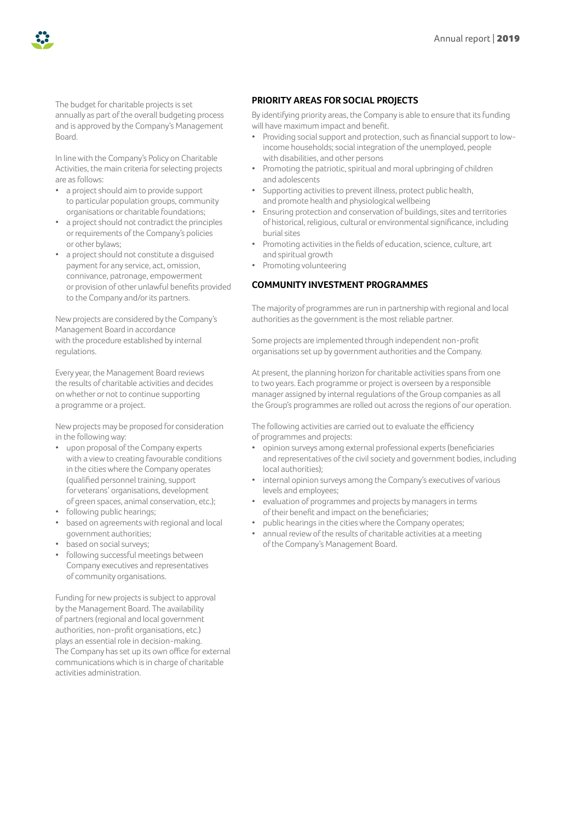

The budget for charitable projects is set annually as part of the overall budgeting process and is approved by the Company's Management Board.

In line with the Company's Policy on Charitable Activities, the main criteria for selecting projects are as follows:

- a project should aim to provide support to particular population groups, community organisations or charitable foundations;
- a project should not contradict the principles or requirements of the Company's policies or other bylaws;
- a project should not constitute a disguised payment for any service, act, omission, connivance, patronage, empowerment or provision of other unlawful benefits provided to the Company and/or its partners.

New projects are considered by the Company's Management Board in accordance with the procedure established by internal regulations.

Every year, the Management Board reviews the results of charitable activities and decides on whether or not to continue supporting a programme or a project.

New projects may be proposed for consideration in the following way:

- upon proposal of the Company experts with a view to creating favourable conditions in the cities where the Company operates (qualified personnel training, support for veterans' organisations, development of green spaces, animal conservation, etc.);
- following public hearings;
- based on agreements with regional and local government authorities;
- based on social surveys;
- following successful meetings between Company executives and representatives of community organisations.

Funding for new projects is subject to approval by the Management Board. The availability of partners (regional and local government authorities, non-profit organisations, etc.) plays an essential role in decision-making. The Company has set up its own office for external communications which is in charge of charitable activities administration.

## **PRIORITY AREAS FOR SOCIAL PROJECTS**

By identifying priority areas, the Company is able to ensure that its funding will have maximum impact and benefit.

- Providing social support and protection, such as financial support to lowincome households; social integration of the unemployed, people with disabilities, and other persons
- Promoting the patriotic, spiritual and moral upbringing of children and adolescents
- Supporting activities to prevent illness, protect public health, and promote health and physiological wellbeing
- Ensuring protection and conservation of buildings, sites and territories of historical, religious, cultural or environmental significance, including burial sites
- Promoting activities in the fields of education, science, culture, art and spiritual growth
- Promoting volunteering

## **COMMUNITY INVESTMENT PROGRAMMES**

The majority of programmes are run in partnership with regional and local authorities as the government is the most reliable partner.

Some projects are implemented through independent non-profit organisations set up by government authorities and the Company.

At present, the planning horizon for charitable activities spans from one to two years. Each programme or project is overseen by a responsible manager assigned by internal regulations of the Group companies as all the Group's programmes are rolled out across the regions of our operation.

The following activities are carried out to evaluate the efficiency of programmes and projects:

- opinion surveys among external professional experts (beneficiaries and representatives of the civil society and government bodies, including local authorities);
- internal opinion surveys among the Company's executives of various levels and employees;
- evaluation of programmes and projects by managers in terms of their benefit and impact on the beneficiaries;
- public hearings in the cities where the Company operates;
- annual review of the results of charitable activities at a meeting of the Company's Management Board.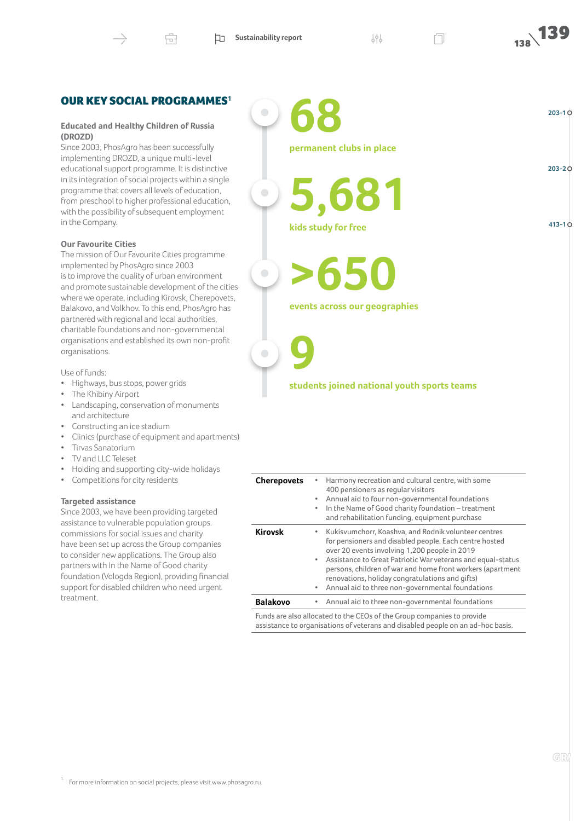$\bullet$ 

 $\bullet$ 

 $\overline{\phantom{0}}$ 

# OUR KEY SOCIAL PROGRAMMES**[1](#page-3-0)**

#### **Educated and Healthy Children of Russia (DROZD)**

Since 2003, PhosAgro has been successfully implementing DROZD, a unique multi-level educational support programme. It is distinctive in its integration of social projects within a single programme that covers all levels of education, from preschool to higher professional education, with the possibility of subsequent employment in the Company.

#### **Our Favourite Cities**

The mission of Our Favourite Cities programme implemented by PhosAgro since 2003 is to improve the quality of urban environment and promote sustainable development of the cities where we operate, including Kirovsk, Cherepovets, Balakovo, and Volkhov. To this end, PhosAgro has partnered with regional and local authorities, charitable foundations and non-governmental organisations and established its own non-profit organisations.

Use of funds:

- Highways, bus stops, power grids
- The Khibiny Airport
- Landscaping, conservation of monuments and architecture
- Constructing an ice stadium
- Clinics (purchase of equipment and apartments)
- Tirvas Sanatorium
- TV and LLC Teleset
- Holding and supporting city-wide holidays
- Competitions for city residents

#### **Targeted assistance**

<span id="page-3-0"></span>Since 2003, we have been providing targeted assistance to vulnerable population groups. commissions for social issues and charity have been set up across the Group companies to consider new applications. The Group also partners with In the Name of Good charity foundation (Vologda Region), providing financial support for disabled children who need urgent treatment.

**68 permanent clubs in place 5,681** 

**kids study for free**

**>650**

**events across our geographies** 

**9**

#### **students joined national youth sports teams**

| <b>Cherepovets</b>                                                                                                                                        | Harmony recreation and cultural centre, with some<br>400 pensioners as regular visitors<br>Annual aid to four non-governmental foundations<br>$\bullet$<br>In the Name of Good charity foundation - treatment<br>٠<br>and rehabilitation funding, equipment purchase                                                                                                                                                               |  |
|-----------------------------------------------------------------------------------------------------------------------------------------------------------|------------------------------------------------------------------------------------------------------------------------------------------------------------------------------------------------------------------------------------------------------------------------------------------------------------------------------------------------------------------------------------------------------------------------------------|--|
| <b>Kirovsk</b>                                                                                                                                            | Kukisvumchorr, Koashva, and Rodnik volunteer centres<br>$\bullet$<br>for pensioners and disabled people. Each centre hosted<br>over 20 events involving 1,200 people in 2019<br>Assistance to Great Patriotic War veterans and equal-status<br>$\bullet$<br>persons, children of war and home front workers (apartment<br>renovations, holiday congratulations and gifts)<br>Annual aid to three non-governmental foundations<br>٠ |  |
| <b>Balakovo</b>                                                                                                                                           | • Annual aid to three non-governmental foundations                                                                                                                                                                                                                                                                                                                                                                                 |  |
| Funds are also allocated to the CEOs of the Group companies to provide<br>assistance to organisations of veterans and disabled people on an ad-hoc basis. |                                                                                                                                                                                                                                                                                                                                                                                                                                    |  |

**203-2**

**203-1**

**413-1**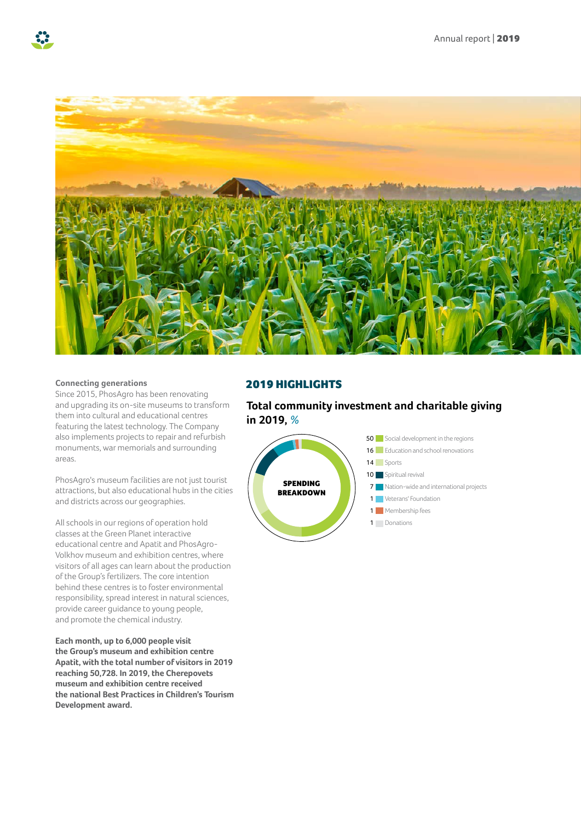



#### **Connecting generations**

Since 2015, PhosAgro has been renovating and upgrading its on-site museums to transform them into cultural and educational centres featuring the latest technology. The Company also implements projects to repair and refurbish monuments, war memorials and surrounding areas.

PhosAgro's museum facilities are not just tourist attractions, but also educational hubs in the cities and districts across our geographies.

All schools in our regions of operation hold classes at the Green Planet interactive educational centre and Apatit and PhosAgro-Volkhov museum and exhibition centres, where visitors of all ages can learn about the production of the Group's fertilizers. The core intention behind these centres is to foster environmental responsibility, spread interest in natural sciences, provide career guidance to young people, and promote the chemical industry.

**Each month, up to 6,000 people visit the Group's museum and exhibition centre Apatit, with the total number of visitors in 2019 reaching 50,728. In 2019, the Cherepovets museum and exhibition centre received the national Best Practices in Children's Tourism Development award.**

# 2019 HIGHLIGHTS

# **Total community investment and charitable giving in 2019,** *%*